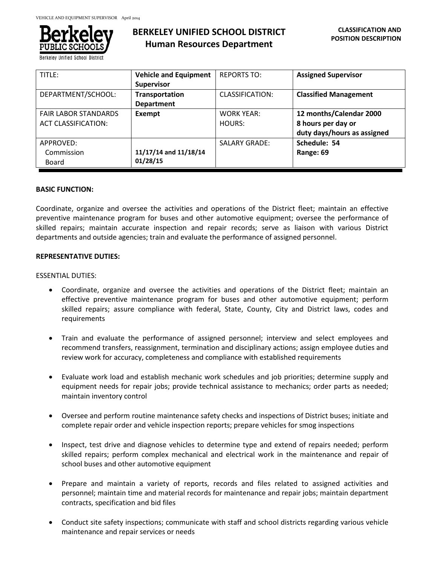

**Berkeley Unified School District** 

# **BERKELEY UNIFIED SCHOOL DISTRICT Human Resources Department**

| TITLE:                      | <b>Vehicle and Equipment</b> | <b>REPORTS TO:</b>   | <b>Assigned Supervisor</b>   |
|-----------------------------|------------------------------|----------------------|------------------------------|
|                             | <b>Supervisor</b>            |                      |                              |
| DEPARTMENT/SCHOOL:          | Transportation               | CLASSIFICATION:      | <b>Classified Management</b> |
|                             | <b>Department</b>            |                      |                              |
| <b>FAIR LABOR STANDARDS</b> | <b>Exempt</b>                | <b>WORK YEAR:</b>    | 12 months/Calendar 2000      |
| <b>ACT CLASSIFICATION:</b>  |                              | HOURS:               | 8 hours per day or           |
|                             |                              |                      | duty days/hours as assigned  |
| APPROVED:                   |                              | <b>SALARY GRADE:</b> | Schedule: 54                 |
| Commission                  | 11/17/14 and 11/18/14        |                      | Range: 69                    |
| Board                       | 01/28/15                     |                      |                              |

### **BASIC FUNCTION:**

Coordinate, organize and oversee the activities and operations of the District fleet; maintain an effective preventive maintenance program for buses and other automotive equipment; oversee the performance of skilled repairs; maintain accurate inspection and repair records; serve as liaison with various District departments and outside agencies; train and evaluate the performance of assigned personnel.

### **REPRESENTATIVE DUTIES:**

### ESSENTIAL DUTIES:

- Coordinate, organize and oversee the activities and operations of the District fleet; maintain an effective preventive maintenance program for buses and other automotive equipment; perform skilled repairs; assure compliance with federal, State, County, City and District laws, codes and requirements
- Train and evaluate the performance of assigned personnel; interview and select employees and recommend transfers, reassignment, termination and disciplinary actions; assign employee duties and review work for accuracy, completeness and compliance with established requirements
- Evaluate work load and establish mechanic work schedules and job priorities; determine supply and equipment needs for repair jobs; provide technical assistance to mechanics; order parts as needed; maintain inventory control
- Oversee and perform routine maintenance safety checks and inspections of District buses; initiate and complete repair order and vehicle inspection reports; prepare vehicles for smog inspections
- Inspect, test drive and diagnose vehicles to determine type and extend of repairs needed; perform skilled repairs; perform complex mechanical and electrical work in the maintenance and repair of school buses and other automotive equipment
- Prepare and maintain a variety of reports, records and files related to assigned activities and personnel; maintain time and material records for maintenance and repair jobs; maintain department contracts, specification and bid files
- Conduct site safety inspections; communicate with staff and school districts regarding various vehicle maintenance and repair services or needs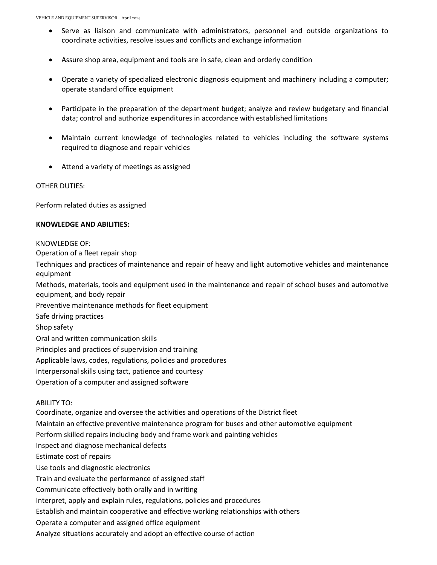- Serve as liaison and communicate with administrators, personnel and outside organizations to coordinate activities, resolve issues and conflicts and exchange information
- Assure shop area, equipment and tools are in safe, clean and orderly condition
- Operate a variety of specialized electronic diagnosis equipment and machinery including a computer; operate standard office equipment
- Participate in the preparation of the department budget; analyze and review budgetary and financial data; control and authorize expenditures in accordance with established limitations
- Maintain current knowledge of technologies related to vehicles including the software systems required to diagnose and repair vehicles
- Attend a variety of meetings as assigned

# OTHER DUTIES:

Perform related duties as assigned

# **KNOWLEDGE AND ABILITIES:**

# KNOWLEDGE OF:

Operation of a fleet repair shop

Techniques and practices of maintenance and repair of heavy and light automotive vehicles and maintenance equipment

Methods, materials, tools and equipment used in the maintenance and repair of school buses and automotive equipment, and body repair

Preventive maintenance methods for fleet equipment

Safe driving practices

Shop safety

Oral and written communication skills

Principles and practices of supervision and training

Applicable laws, codes, regulations, policies and procedures

Interpersonal skills using tact, patience and courtesy

Operation of a computer and assigned software

# ABILITY TO:

Coordinate, organize and oversee the activities and operations of the District fleet

Maintain an effective preventive maintenance program for buses and other automotive equipment

Perform skilled repairs including body and frame work and painting vehicles

Inspect and diagnose mechanical defects

Estimate cost of repairs

Use tools and diagnostic electronics

Train and evaluate the performance of assigned staff

Communicate effectively both orally and in writing

Interpret, apply and explain rules, regulations, policies and procedures

Establish and maintain cooperative and effective working relationships with others

Operate a computer and assigned office equipment

Analyze situations accurately and adopt an effective course of action